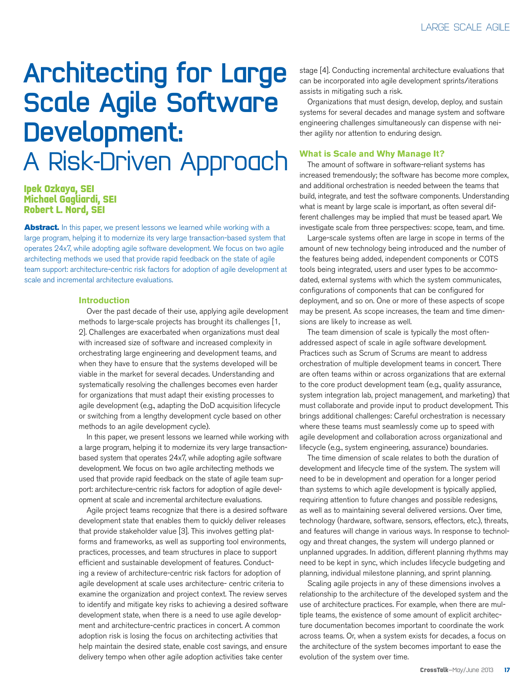# Architecting for Large Scale Agile Software Development: A Risk-Driven Approach

### **Ipek Ozkaya, SEI Michael Gagliardi, SEI Robert L. Nord, SEI**

Abstract. In this paper, we present lessons we learned while working with a large program, helping it to modernize its very large transaction-based system that operates 24x7, while adopting agile software development. We focus on two agile architecting methods we used that provide rapid feedback on the state of agile team support: architecture-centric risk factors for adoption of agile development at scale and incremental architecture evaluations.

#### **Introduction**

Over the past decade of their use, applying agile development methods to large-scale projects has brought its challenges [1, 2]. Challenges are exacerbated when organizations must deal with increased size of software and increased complexity in orchestrating large engineering and development teams, and when they have to ensure that the systems developed will be viable in the market for several decades. Understanding and systematically resolving the challenges becomes even harder for organizations that must adapt their existing processes to agile development (e.g., adapting the DoD acquisition lifecycle or switching from a lengthy development cycle based on other methods to an agile development cycle).

In this paper, we present lessons we learned while working with a large program, helping it to modernize its very large transactionbased system that operates 24x7, while adopting agile software development. We focus on two agile architecting methods we used that provide rapid feedback on the state of agile team support: architecture-centric risk factors for adoption of agile development at scale and incremental architecture evaluations.

Agile project teams recognize that there is a desired software development state that enables them to quickly deliver releases that provide stakeholder value [3]. This involves getting platforms and frameworks, as well as supporting tool environments, practices, processes, and team structures in place to support efficient and sustainable development of features. Conducting a review of architecture-centric risk factors for adoption of agile development at scale uses architecture- centric criteria to examine the organization and project context. The review serves to identify and mitigate key risks to achieving a desired software development state, when there is a need to use agile development and architecture-centric practices in concert. A common adoption risk is losing the focus on architecting activities that help maintain the desired state, enable cost savings, and ensure delivery tempo when other agile adoption activities take center

stage [4]. Conducting incremental architecture evaluations that can be incorporated into agile development sprints/iterations assists in mitigating such a risk.

Organizations that must design, develop, deploy, and sustain systems for several decades and manage system and software engineering challenges simultaneously can dispense with neither agility nor attention to enduring design.

#### **What is Scale and Why Manage It?**

The amount of software in software-reliant systems has increased tremendously; the software has become more complex, and additional orchestration is needed between the teams that build, integrate, and test the software components. Understanding what is meant by large scale is important, as often several different challenges may be implied that must be teased apart. We investigate scale from three perspectives: scope, team, and time.

Large-scale systems often are large in scope in terms of the amount of new technology being introduced and the number of the features being added, independent components or COTS tools being integrated, users and user types to be accommodated, external systems with which the system communicates, configurations of components that can be configured for deployment, and so on. One or more of these aspects of scope may be present. As scope increases, the team and time dimensions are likely to increase as well.

The team dimension of scale is typically the most oftenaddressed aspect of scale in agile software development. Practices such as Scrum of Scrums are meant to address orchestration of multiple development teams in concert. There are often teams within or across organizations that are external to the core product development team (e.g., quality assurance, system integration lab, project management, and marketing) that must collaborate and provide input to product development. This brings additional challenges: Careful orchestration is necessary where these teams must seamlessly come up to speed with agile development and collaboration across organizational and lifecycle (e.g., system engineering, assurance) boundaries.

The time dimension of scale relates to both the duration of development and lifecycle time of the system. The system will need to be in development and operation for a longer period than systems to which agile development is typically applied, requiring attention to future changes and possible redesigns, as well as to maintaining several delivered versions. Over time, technology (hardware, software, sensors, effectors, etc.), threats, and features will change in various ways. In response to technology and threat changes, the system will undergo planned or unplanned upgrades. In addition, different planning rhythms may need to be kept in sync, which includes lifecycle budgeting and planning, individual milestone planning, and sprint planning.

Scaling agile projects in any of these dimensions involves a relationship to the architecture of the developed system and the use of architecture practices. For example, when there are multiple teams, the existence of some amount of explicit architecture documentation becomes important to coordinate the work across teams. Or, when a system exists for decades, a focus on the architecture of the system becomes important to ease the evolution of the system over time.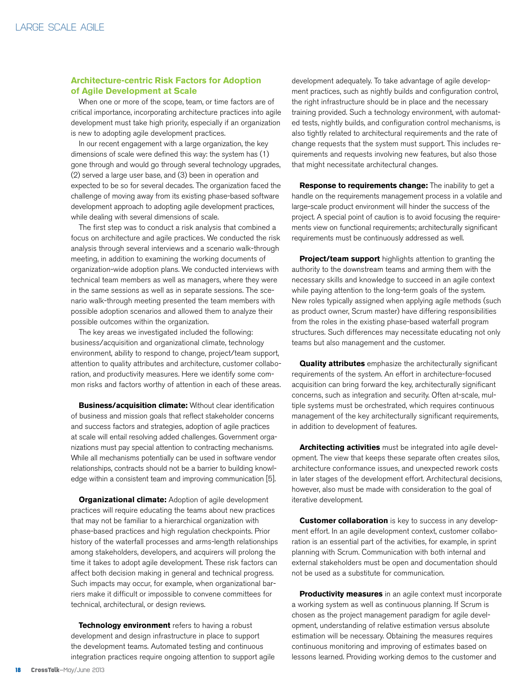#### **Architecture-centric Risk Factors for Adoption of Agile Development at Scale**

When one or more of the scope, team, or time factors are of critical importance, incorporating architecture practices into agile development must take high priority, especially if an organization is new to adopting agile development practices.

In our recent engagement with a large organization, the key dimensions of scale were defined this way: the system has (1) gone through and would go through several technology upgrades, (2) served a large user base, and (3) been in operation and expected to be so for several decades. The organization faced the challenge of moving away from its existing phase-based software development approach to adopting agile development practices, while dealing with several dimensions of scale.

The first step was to conduct a risk analysis that combined a focus on architecture and agile practices. We conducted the risk analysis through several interviews and a scenario walk-through meeting, in addition to examining the working documents of organization-wide adoption plans. We conducted interviews with technical team members as well as managers, where they were in the same sessions as well as in separate sessions. The scenario walk-through meeting presented the team members with possible adoption scenarios and allowed them to analyze their possible outcomes within the organization.

The key areas we investigated included the following: business/acquisition and organizational climate, technology environment, ability to respond to change, project/team support, attention to quality attributes and architecture, customer collaboration, and productivity measures. Here we identify some common risks and factors worthy of attention in each of these areas.

**Business/acquisition climate:** Without clear identification of business and mission goals that reflect stakeholder concerns and success factors and strategies, adoption of agile practices at scale will entail resolving added challenges. Government organizations must pay special attention to contracting mechanisms. While all mechanisms potentially can be used in software vendor relationships, contracts should not be a barrier to building knowledge within a consistent team and improving communication [5].

**Organizational climate:** Adoption of agile development practices will require educating the teams about new practices that may not be familiar to a hierarchical organization with phase-based practices and high regulation checkpoints. Prior history of the waterfall processes and arms-length relationships among stakeholders, developers, and acquirers will prolong the time it takes to adopt agile development. These risk factors can affect both decision making in general and technical progress. Such impacts may occur, for example, when organizational barriers make it difficult or impossible to convene committees for technical, architectural, or design reviews.

**Technology environment** refers to having a robust development and design infrastructure in place to support the development teams. Automated testing and continuous integration practices require ongoing attention to support agile development adequately. To take advantage of agile development practices, such as nightly builds and configuration control, the right infrastructure should be in place and the necessary training provided. Such a technology environment, with automated tests, nightly builds, and configuration control mechanisms, is also tightly related to architectural requirements and the rate of change requests that the system must support. This includes requirements and requests involving new features, but also those that might necessitate architectural changes.

**Response to requirements change:** The inability to get a handle on the requirements management process in a volatile and large-scale product environment will hinder the success of the project. A special point of caution is to avoid focusing the requirements view on functional requirements; architecturally significant requirements must be continuously addressed as well.

**Project/team support** highlights attention to granting the authority to the downstream teams and arming them with the necessary skills and knowledge to succeed in an agile context while paying attention to the long-term goals of the system. New roles typically assigned when applying agile methods (such as product owner, Scrum master) have differing responsibilities from the roles in the existing phase-based waterfall program structures. Such differences may necessitate educating not only teams but also management and the customer.

**Quality attributes** emphasize the architecturally significant requirements of the system. An effort in architecture-focused acquisition can bring forward the key, architecturally significant concerns, such as integration and security. Often at-scale, multiple systems must be orchestrated, which requires continuous management of the key architecturally significant requirements, in addition to development of features.

**Architecting activities** must be integrated into agile development. The view that keeps these separate often creates silos, architecture conformance issues, and unexpected rework costs in later stages of the development effort. Architectural decisions, however, also must be made with consideration to the goal of iterative development.

**Customer collaboration** is key to success in any development effort. In an agile development context, customer collaboration is an essential part of the activities, for example, in sprint planning with Scrum. Communication with both internal and external stakeholders must be open and documentation should not be used as a substitute for communication.

**Productivity measures** in an agile context must incorporate a working system as well as continuous planning. If Scrum is chosen as the project management paradigm for agile development, understanding of relative estimation versus absolute estimation will be necessary. Obtaining the measures requires continuous monitoring and improving of estimates based on lessons learned. Providing working demos to the customer and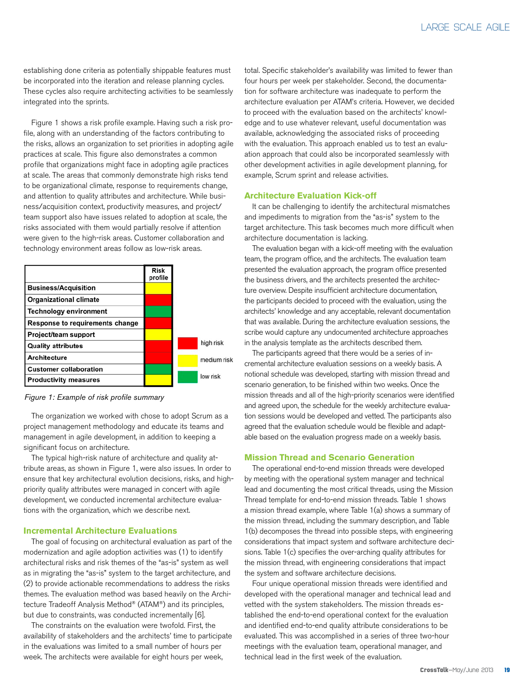establishing done criteria as potentially shippable features must be incorporated into the iteration and release planning cycles. These cycles also require architecting activities to be seamlessly integrated into the sprints.

Figure 1 shows a risk profile example. Having such a risk profile, along with an understanding of the factors contributing to the risks, allows an organization to set priorities in adopting agile practices at scale. This figure also demonstrates a common profile that organizations might face in adopting agile practices at scale. The areas that commonly demonstrate high risks tend to be organizational climate, response to requirements change, and attention to quality attributes and architecture. While business/acquisition context, productivity measures, and project/ team support also have issues related to adoption at scale, the risks associated with them would partially resolve if attention were given to the high-risk areas. Customer collaboration and technology environment areas follow as low-risk areas.

|                                        | <b>Risk</b><br>profile |             |
|----------------------------------------|------------------------|-------------|
| <b>Business/Acquisition</b>            |                        |             |
| <b>Organizational climate</b>          |                        |             |
| <b>Technology environment</b>          |                        |             |
| <b>Response to requirements change</b> |                        |             |
| <b>Project/team support</b>            |                        |             |
| <b>Quality attributes</b>              |                        | high risk   |
| <b>Architecture</b>                    |                        | medium risk |
| <b>Customer collaboration</b>          |                        |             |
| <b>Productivity measures</b>           |                        | low risk    |

*Figure 1: Example of risk profile summary*

The organization we worked with chose to adopt Scrum as a project management methodology and educate its teams and management in agile development, in addition to keeping a significant focus on architecture.

The typical high-risk nature of architecture and quality attribute areas, as shown in Figure 1, were also issues. In order to ensure that key architectural evolution decisions, risks, and highpriority quality attributes were managed in concert with agile development, we conducted incremental architecture evaluations with the organization, which we describe next.

#### **Incremental Architecture Evaluations**

The goal of focusing on architectural evaluation as part of the modernization and agile adoption activities was (1) to identify architectural risks and risk themes of the "as-is" system as well as in migrating the "as-is" system to the target architecture, and (2) to provide actionable recommendations to address the risks themes. The evaluation method was based heavily on the Architecture Tradeoff Analysis Method® (ATAM®) and its principles, but due to constraints, was conducted incrementally [6].

The constraints on the evaluation were twofold. First, the availability of stakeholders and the architects' time to participate in the evaluations was limited to a small number of hours per week. The architects were available for eight hours per week,

total. Specific stakeholder's availability was limited to fewer than four hours per week per stakeholder. Second, the documentation for software architecture was inadequate to perform the architecture evaluation per ATAM's criteria. However, we decided to proceed with the evaluation based on the architects' knowledge and to use whatever relevant, useful documentation was available, acknowledging the associated risks of proceeding with the evaluation. This approach enabled us to test an evaluation approach that could also be incorporated seamlessly with other development activities in agile development planning, for example, Scrum sprint and release activities.

#### **Architecture Evaluation Kick-off**

It can be challenging to identify the architectural mismatches and impediments to migration from the "as-is" system to the target architecture. This task becomes much more difficult when architecture documentation is lacking.

The evaluation began with a kick-off meeting with the evaluation team, the program office, and the architects. The evaluation team presented the evaluation approach, the program office presented the business drivers, and the architects presented the architecture overview. Despite insufficient architecture documentation, the participants decided to proceed with the evaluation, using the architects' knowledge and any acceptable, relevant documentation that was available. During the architecture evaluation sessions, the scribe would capture any undocumented architecture approaches in the analysis template as the architects described them.

The participants agreed that there would be a series of incremental architecture evaluation sessions on a weekly basis. A notional schedule was developed, starting with mission thread and scenario generation, to be finished within two weeks. Once the mission threads and all of the high-priority scenarios were identified and agreed upon, the schedule for the weekly architecture evaluation sessions would be developed and vetted. The participants also agreed that the evaluation schedule would be flexible and adaptable based on the evaluation progress made on a weekly basis.

#### **Mission Thread and Scenario Generation**

The operational end-to-end mission threads were developed by meeting with the operational system manager and technical lead and documenting the most critical threads, using the Mission Thread template for end-to-end mission threads. Table 1 shows a mission thread example, where Table 1(a) shows a summary of the mission thread, including the summary description, and Table 1(b) decomposes the thread into possible steps, with engineering considerations that impact system and software architecture decisions. Table 1(c) specifies the over-arching quality attributes for the mission thread, with engineering considerations that impact the system and software architecture decisions.

Four unique operational mission threads were identified and developed with the operational manager and technical lead and vetted with the system stakeholders. The mission threads established the end-to-end operational context for the evaluation and identified end-to-end quality attribute considerations to be evaluated. This was accomplished in a series of three two-hour meetings with the evaluation team, operational manager, and technical lead in the first week of the evaluation.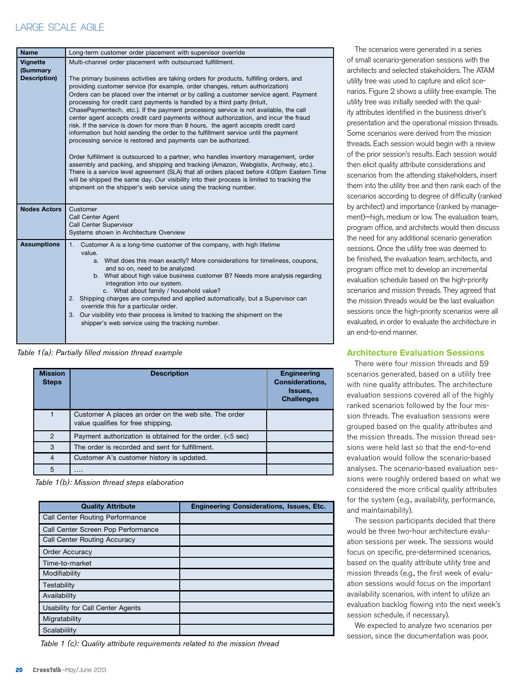## LARGE SCALE AGILE

| <b>Name</b>                                 | Long-term customer order placement with supervisor override                                                                                                                                                                                                                                                                                                                                                                                                                                                                                                                                                                                                                                                                                                                                                                                                                                                                                                                                                                                                                                                                                                                                                                                                                               |  |  |
|---------------------------------------------|-------------------------------------------------------------------------------------------------------------------------------------------------------------------------------------------------------------------------------------------------------------------------------------------------------------------------------------------------------------------------------------------------------------------------------------------------------------------------------------------------------------------------------------------------------------------------------------------------------------------------------------------------------------------------------------------------------------------------------------------------------------------------------------------------------------------------------------------------------------------------------------------------------------------------------------------------------------------------------------------------------------------------------------------------------------------------------------------------------------------------------------------------------------------------------------------------------------------------------------------------------------------------------------------|--|--|
| <b>Vignette</b><br>(Summary<br>Description) | Multi-channel order placement with outsourced fulfillment.<br>The primary business activities are taking orders for products, fulfilling orders, and<br>providing customer service (for example, order changes, return authorization)<br>Orders can be placed over the internet or by calling a customer service agent. Payment<br>processing for credit card payments is handled by a third party (Intuit,<br>ChasePaymentech, etc.). If the payment processing service is not available, the call<br>center agent accepts credit card payments without authorization, and incur the fraud<br>risk. If the service is down for more than 8 hours, the agent accepts credit card<br>information but hold sending the order to the fulfillment service until the payment<br>processing service is restored and payments can be authorized.<br>Order fulfillment is outsourced to a partner, who handles inventory management, order<br>assembly and packing, and shipping and tracking (Amazon, Webgistix, Archway, etc.).<br>There is a service level agreement (SLA) that all orders placed before 4:00pm Eastern Time<br>will be shipped the same day. Our visibility into their process is limited to tracking the<br>shipment on the shipper's web service using the tracking number. |  |  |
| <b>Nodes Actors</b>                         | Customer<br>Call Center Agent<br>Call Center Supervisor<br>Systems shown in Architecture Overview                                                                                                                                                                                                                                                                                                                                                                                                                                                                                                                                                                                                                                                                                                                                                                                                                                                                                                                                                                                                                                                                                                                                                                                         |  |  |
| <b>Assumptions</b>                          | Customer A is a long-time customer of the company, with high lifetime<br>1.<br>value.<br>a. What does this mean exactly? More considerations for timeliness, coupons,<br>and so on, need to be analyzed.<br>b. What about high value business customer B? Needs more analysis regarding<br>integration into our system.<br>c. What about family / household value?<br>2. Shipping charges are computed and applied automatically, but a Supervisor can<br>override this for a particular order.<br>3. Our visibility into their process is limited to tracking the shipment on the<br>shipper's web service using the tracking number.                                                                                                                                                                                                                                                                                                                                                                                                                                                                                                                                                                                                                                                    |  |  |

*Table 1(a): Partially filled mission thread example*

| <b>Mission</b><br><b>Steps</b> | <b>Description</b>                                                                          | <b>Engineering</b><br><b>Considerations.</b><br>Issues.<br><b>Challenges</b> |
|--------------------------------|---------------------------------------------------------------------------------------------|------------------------------------------------------------------------------|
|                                | Customer A places an order on the web site. The order<br>value qualifies for free shipping. |                                                                              |
| 2                              | Payment authorization is obtained for the order. $(<5$ sec)                                 |                                                                              |
| 3                              | The order is recorded and sent for fulfillment.                                             |                                                                              |
| $\overline{4}$                 | Customer A's customer history is updated.                                                   |                                                                              |
| 5                              | .                                                                                           |                                                                              |

*Table 1(b): Mission thread steps elaboration*

| <b>Quality Attribute</b>               | <b>Engineering Considerations, Issues, Etc.</b> |
|----------------------------------------|-------------------------------------------------|
| <b>Call Center Routing Performance</b> |                                                 |
| Call Center Screen Pop Performance     |                                                 |
| <b>Call Center Routing Accuracy</b>    |                                                 |
| Order Accuracy                         |                                                 |
| Time-to-market                         |                                                 |
| Modifiability                          |                                                 |
| Testability                            |                                                 |
| Availability                           |                                                 |
| Usability for Call Center Agents       |                                                 |
| Migratability                          |                                                 |
| Scalabiility                           |                                                 |

*Table 1 (c): Quality attribute requirements related to the mission thread*

The scenarios were generated in a series of small scenario-generation sessions with the architects and selected stakeholders. The ATAM utility tree was used to capture and elicit scenarios. Figure 2 shows a utility tree example. The utility tree was initially seeded with the quality attributes identified in the business driver's presentation and the operational mission threads. Some scenarios were derived from the mission threads. Each session would begin with a review of the prior session's results. Each session would then elicit quality attribute considerations and scenarios from the attending stakeholders, insert them into the utility tree and then rank each of the scenarios according to degree of difficulty (ranked by architect) and importance (ranked by management)—high, medium or low. The evaluation team, program office, and architects would then discuss the need for any additional scenario generation sessions. Once the utility tree was deemed to be finished, the evaluation team, architects, and program office met to develop an incremental evaluation schedule based on the high-priority scenarios and mission threads. They agreed that the mission threads would be the last evaluation sessions once the high-priority scenarios were all evaluated, in order to evaluate the architecture in an end-to-end manner.

#### **Architecture Evaluation Sessions**

There were four mission threads and 59 scenarios generated, based on a utility tree with nine quality attributes. The architecture evaluation sessions covered all of the highly ranked scenarios followed by the four mission threads. The evaluation sessions were grouped based on the quality attributes and the mission threads. The mission thread sessions were held last so that the end-to-end evaluation would follow the scenario-based analyses. The scenario-based evaluation sessions were roughly ordered based on what we considered the more critical quality attributes for the system (e.g., availability, performance, and maintainability).

The session participants decided that there would be three two-hour architecture evaluation sessions per week. The sessions would focus on specific, pre-determined scenarios, based on the quality attribute utility tree and mission threads (e.g., the first week of evaluation sessions would focus on the important availability scenarios, with intent to utilize an evaluation backlog flowing into the next week's session schedule, if necessary).

We expected to analyze two scenarios per session, since the documentation was poor.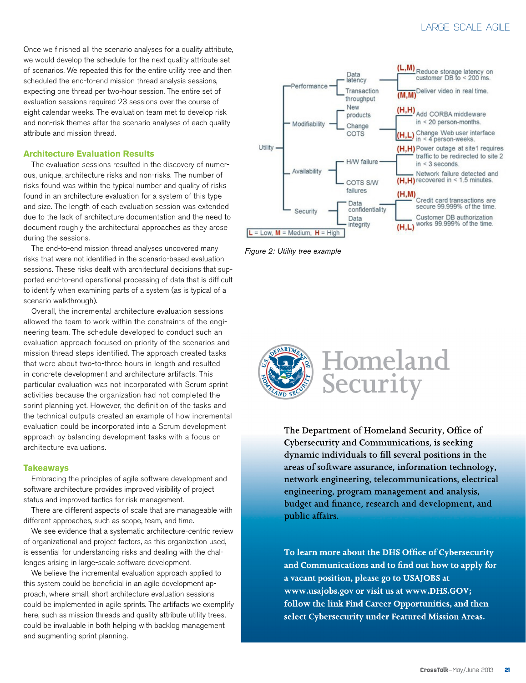## LARGE SCALE AGILE

Once we finished all the scenario analyses for a quality attribute, we would develop the schedule for the next quality attribute set of scenarios. We repeated this for the entire utility tree and then scheduled the end-to-end mission thread analysis sessions, expecting one thread per two-hour session. The entire set of evaluation sessions required 23 sessions over the course of eight calendar weeks. The evaluation team met to develop risk and non-risk themes after the scenario analyses of each quality attribute and mission thread.

#### **Architecture Evaluation Results**

The evaluation sessions resulted in the discovery of numerous, unique, architecture risks and non-risks. The number of risks found was within the typical number and quality of risks found in an architecture evaluation for a system of this type and size. The length of each evaluation session was extended due to the lack of architecture documentation and the need to document roughly the architectural approaches as they arose during the sessions.

The end-to-end mission thread analyses uncovered many risks that were not identified in the scenario-based evaluation sessions. These risks dealt with architectural decisions that supported end-to-end operational processing of data that is difficult to identify when examining parts of a system (as is typical of a scenario walkthrough).

Overall, the incremental architecture evaluation sessions allowed the team to work within the constraints of the engineering team. The schedule developed to conduct such an evaluation approach focused on priority of the scenarios and mission thread steps identified. The approach created tasks that were about two-to-three hours in length and resulted in concrete development and architecture artifacts. This particular evaluation was not incorporated with Scrum sprint activities because the organization had not completed the sprint planning yet. However, the definition of the tasks and the technical outputs created an example of how incremental evaluation could be incorporated into a Scrum development approach by balancing development tasks with a focus on architecture evaluations.

#### **Takeaways**

Embracing the principles of agile software development and software architecture provides improved visibility of project status and improved tactics for risk management.

There are different aspects of scale that are manageable with different approaches, such as scope, team, and time.

We see evidence that a systematic architecture-centric review of organizational and project factors, as this organization used, is essential for understanding risks and dealing with the challenges arising in large-scale software development.

We believe the incremental evaluation approach applied to this system could be beneficial in an agile development approach, where small, short architecture evaluation sessions could be implemented in agile sprints. The artifacts we exemplify here, such as mission threads and quality attribute utility trees, could be invaluable in both helping with backlog management and augmenting sprint planning.



*Figure 2: Utility tree example*



The Department of Homeland Security, Office of Cybersecurity and Communications, is seeking dynamic individuals to fill several positions in the areas of software assurance, information technology, network engineering, telecommunications, electrical engineering, program management and analysis, budget and finance, research and development, and public affairs.

To learn more about the DHS Office of Cybersecurity and Communications and to find out how to apply for a vacant position, please go to USAJOBS at www.usajobs.gov or visit us at www.DHS.GOV; follow the link Find Career Opportunities, and then select Cybersecurity under Featured Mission Areas.